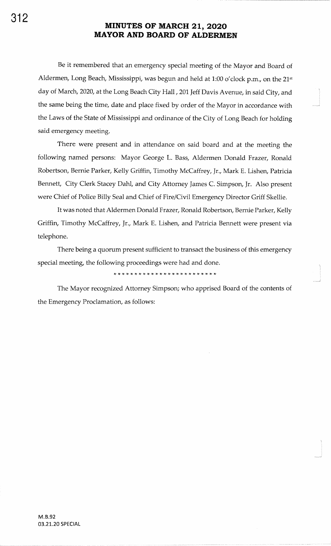Be it remembered that an emergency special meeting of the Mayor and Board ofAldermen, Long Beach, Mississippi, was begun and held at 1:00 o'clock p.m., on the 21<sup>st</sup> day of March, 2020, at the Long Beach City Hall, 201 Jeff Davis Avenue, in said City, and the same being the time, date and place fixed by order of the Mayor in accordance withthe Laws of the State of Mississippi and ordinance of the City of Long Beach for holdingsaid emergency meeting.

There were present and in attendance on said board and at the meeting thefollowing named persons: Mayor George L. Bass, Aldermen Donald Frazer, RonaldRobertson, Bernie Parker, Kelly Griffin, Timothy McCaffrey, Jr., Mark E. Lishen, Patricia Bennett, City Clerk Stacey Dahl, and City Attorney James C. Simpson, Jr. Also present were Chief of Police Billy Seal and Chief of Fire/Civil Emergency Director Griff Skellie.

It was noted that Aldermen Donald Frazer, Ronald Robertson, Bernie Parker, Kelly Griffin, Timothy McCaffrey, Jr., Mark E. Lishen, and Patricia Bennett were present via telephone.

There being a quorum present sufficient to transact the business of this emergencyspecial meeting, the following proceedings were had and done.

### 

The Mayor recognized Attorney Simpson; who apprised Board of the contents ofthe Emergency Proclamation, as follows: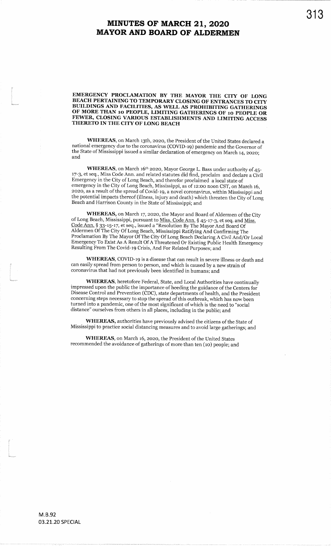EMERGENCY PROCLAMATION BY THE MAYOR THE CITY OF LONG BEACH PERTAINING TO TEMPORARY CLOSING OF ENTRANCES TO CITY BUILDINGS AND FACILITIES, AS WELL AS PROHIBITING GATHERINGS OF MORE THAN 10 PEOPLE, LIMITING GATHERINGS OF 10 PEOPLE OR FEWER, CLOSING VARIOUS ESTABLISHMENTS AND LIMITING ACCESS THERETO IN THE CITY OF LONG BEACH

WHEREAS, on March 13th, 2020, the President of the United States declared a national emergency due to the coronavirus (COVID-19) pandemic and the Governor of the State of Mississippi issued a similar declaration of emergency on March 14, 2020;<br>and

WHEREAS, on March 16<sup>th</sup> 2020, Mayor George L. Bass under authority of 45- 17-3, et seq., Miss Code Ann. and related statutes did find, proclaim and declare a CivilEmergency in the city of Long Beach, and therefor proclaimed a local state ofemergency in the City of Long Beach, Mississippi, as of 12:00 noon CST, on March 16, 2020, as a result of the spread of Covid-19, a novel coronavirus, within Mississippi and the potential impacts thereof (illness, injury and death) which threaten the City of LongBeach and Flarrison County in the State of Mississippi; and

of Long Beach, Mississippi, pursuant to <u>Miss. Code Ann.</u> § 45-17-3, et seq. and <u>Miss.</u><br>Code Ann. § 33-15-17, et seq., issued a "Resolution By The Mayor And Board Of WHEREAS, on March 17, 2020, the Mayor and Board of Aldermen of the City Aldermen Of The City Of Long Beach, Mississippi Ratifying And Confirming The Proclamation By The Mayor Of The City Of Long Beach Declaring A Civil And/Or Local Emergency To Exist As A Result Of <sup>A</sup>Threatened Or Existing Public Health EmergencyResulting From The Covid-19 Crisis, And For Related Purposes; and

WHEREAS, COVID-I9 is a disease that can result in severe illness or death andcan easily spread from person to person, and which is caused by a new strain ofcoronavirus that had not previously been identified in humans; and

WHEREAS, heretofore Federal, State, and Local Authorities have continuallyimpressed upon the public the importance of heeding the guidance of the Centers for Disease Control and Prevention (CDC), state departments ofhealth, and the Presidentconcerning steps necessary to stop the spread of this outbreak, which has now been turned into a pandemic, one of the most significant of which is the need to "social distance" ourselves from others in all places, including in the public; and

WHEREAS, authorities have previously advised the citizens of the State of Mississippi to practice social distancing measures and to avoid large gatherings; and

WHEREAS, on March 16, 2020, the President of the United States recommended the avoidance of gatherings of more than ten (10) people; and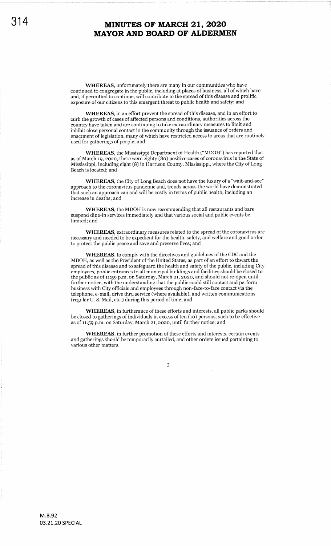WHEREAS, unfortunately there are many in our communities who have continued to congregate in the public, including at places of business, all of which have and, if permitted to continue, will contribute to the spread of this disease and prolific exposure of our citizens to this emergent threat to public health and safety; and

WHEREAS, in an effort prevent the spread of this disease, and in an effort to curb the growth of cases of affected persons and conditions, authorities across the country have taken and are continuing to take extraordinary measures to limit and inhibit close personal contact in the community through the issuance of orders and enactment of legislation, many of which have restricted access to areas that are routinely used for gatherings of people; and

WHEREAS, the Mississippi Department of Health ("MDOH") has reported that as of March 19, 2020, there were eighty  $(80)$  positive cases of coronavirus in the State of Mississippi, including eight (8) in Harrison County, Mississippi, where the City of Long Beach is located; and

WHEREAS, the City of Long Beach does not have the luxury of a "wait-and-see" approach to the coronavirus pandemic and, trends across the world have demonstrated that such an approach can and will be costly in terms of public health, including an increase in deaths; and

WHEREAS, the MDOH is now recommending that all restaurants and bars suspend dine-in services immediately and that various social and public events be limited; and

WHEREAS, extraordinary measures related to the spread of the coronavirus are necessary and needed to be expedient for the health, safety, and welfare and good order to protect the public peace and save and preserve lives; and

WHEREAS, to comply with the directives and guidelines of the CDC and the MDOH, as well as the President of the United States, as part of an effort to thwart the spread of this disease and to safeguard the health and safety of the public, including City employees, public entrances to all municipal buildings and facilities should be closed to the public as of 11:59 p.m. on Saturday, March 21, 2020, and should not re-open until further notice, with the understanding that the public could still contact and perform business with City officials and employees through non-face-to-face contact via the telephone, e-mail, drive thru service (where available), and written communications (regular U. S. Mail, etc.) during this period of time; and

WHEREAS, in furtherance of these efforts and interests, all public parks should be closed to gatherings of individuals in excess of ten (10) persons, such to be effective as of 11:59 p.m. on Saturday, March 21, 2020, until further notice; and

WHEREAS, in further promotion of these efforts and interests, certain events and gatherings should be temporarily curtailed, and other orders issued pertaining to various other matters.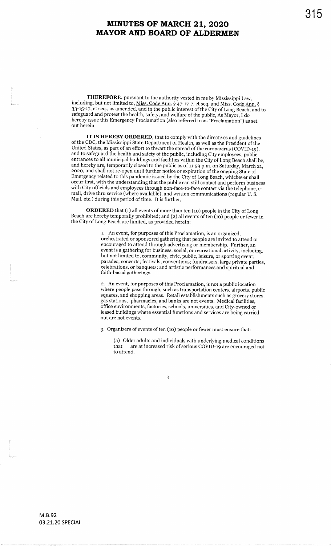including, but not limited to, <u>Miss. Code Ann.</u> § 47-17-7, et seq. and <u>Miss. Code Ann.</u> § THEREFORE, pursuant to the authority vested in me by Mississippi Law, 33-15-17, et seq., as amended, and in the public interest of the City of Long Beach, and to safeguard and protect the health, safety, and welfare of the public, As Mayor, I do hereby issue this Emergency Proclamation (also referred toas "proclamaiion") as setout herein.

IT IS HEREBY ORDERED, that to comply with the directives and guidelines of the CDC, the Mississippi State Department of Health, as well as the President of the<br>United States, as part of an effort to thwart the spread of the coronavirus (COVID-19), and to safeguard the health and safety of the public, including City employees, public entrances to all municipal buildings and facilities within the City of Long Beach shall be, and hereby are, temporarily closed to the public as of 11:59 p.m. on Saturday, March 21, zozo, and shall not re-open until further notice or expiration ofthe ongoing State of Emergency related to this pandemic issued by the city of Long Beach, whichever shall occur first, with the understanding that the public can still contact and perform business with City officials and employees through non-face-to-face contact via the telephone, email, drive thru service (where available), and written communications (regular U.S. Mail, etc.) during this period of time. It is further,

ORDERED that (1) all events of more than ten (10) people in the City of Long Beach are hereby temporally prohibited; and (2) all events of ten (10) people or fewer in the City of Long Beach are limited, as provided herein:

> l. An event, for purposes of this Proclamation, is an organized, orchestrated or sponsored gathering that people are invited to attend orencouraged to attend through advertising or membership. Further, an event is a gathering for business, social, or recreational activity, including, but not limited to, community, civic, public, leisure, or sporting event; parades; concerts; festivals; conventions; fundraisers, large private parties, celebrations, or banquets; and artistic performances and spiritual andfaith-based gatherings.

> z. An event, for purposes of this Proclamation, is not a public location where people pass through, such as transportation centers, airports, public squares, and shopping areas. Retail establishments such as grocery stores,gas stations, pharmacies, and banks are not events. Medical facilities, office environments, factories, schools, universities, and City-owned or leased buildings where essential functions and services are being carriedout are not events.

3. Organizers of events of ten (10) people or fewer must ensure that:

(a) Older adults and individuals with underlying medical conditionsthat are at increased risk of serious COVID-19 are encouraged not to attend.

315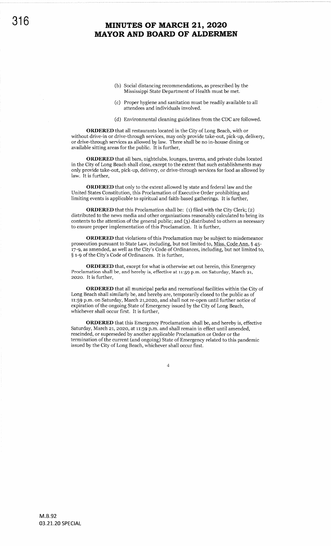- (b) Social distancing recommendations, as prescribed by the Mississippi State Department of Health must be met.
- (c) Proper hygiene and sanitation must be readily available to all attendees and individuals involved.
- (d) Environmental cleaning guidelines from the CDC are followed.

ORDERED that all restaurants located in the City of Long Beach, with or without drive-in or drive-through services, may only provide take-out, pick-up, delivery, or drive-through services as allowed by law. There shall be no in-house dining or available sitting areas for the public. It is further,

ORDERED that all bars, nightclubs, lounges, taverns, and private clubs located in the City of Long Beach shall close, except to the extent that such establishments may only provide take-out, pick-up, delivery, or drive-through services for food as allowed by law. It is further,

ORDERED that only to the extent allowed by state and federal law and the United States Constitution, this Proclamation of Executive Order prohibiting and limiting events is applicable to spiritual and faith-based gatherings. It is further,

**ORDERED** that this Proclamation shall be: (1) filed with the City Clerk; (2) distributed to the news media and other organizations reasonably calculated to bring its contents to the attention of the general public; and (3) distributed to others as necessary to ensure proper implementation of this Proclamation. It is further,

ORDERED that violations of this Proclamation may be subject to misdemeanor prosecution pursuant to State Law, including, but not limited to, Miss. Code Ann. § 45r7-9, as amended, as well as the City's Code of Ordinances, including, but not limited to, § 1-9 of the City's Code of Ordinances. It is further,

ORDERED that, except for what is otherwise set out herein, this Emergency Proclamation shall be, and hereby is, effective at 11:59 p.m. on Saturday, March 21, 2o2o. It is further,

ORDERED that all municipal parks and recreational facilities within the City of Long Beach shall similarly be, and hereby are, temporarily closed to the public as of 11:59 p.m. on Saturday, March 21,2020, and shall not re-open until further notice of expiration of the ongoing State of Emergency issued by the City of Long Beach, whichever shall occur first. It is further,

ORDERED that this Emergency Proclamation shall be, and hereby is, effective Saturday, March 21, 2020, at 11:59 p.m. and shall remain in effect until amended, rescinded, or superseded by another applicable Proclamation or Order or the termination of the current (and ongoing) State of Emergency related to this pandemic issued by the City of Long Beach, whichever shall occur first.

4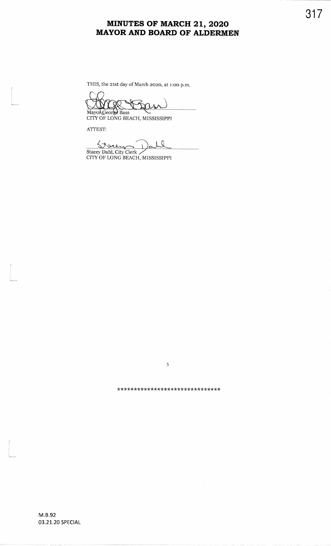THIS, the 2rst day of March 2o2o, at 1:oo p.m.

MayonGeor<mark>se</mark> Bass<br>CITY OF LONG BEACH, MISSISSIPPI

ATTEST:

l<br>|<br>Waliozaliwa

L

tl<br>Románico

 $\frac{1}{\sqrt{2}}$ 

Stacey Dahl, City Clerk<br>CITY OF LONG BEACH, MISSISSIPPI

\*\*\*\*\*\*\*\*\*\*\*\*\*\*\*\*\*\*\*\*\*\*\*\*\*\*\*\*\*\*\*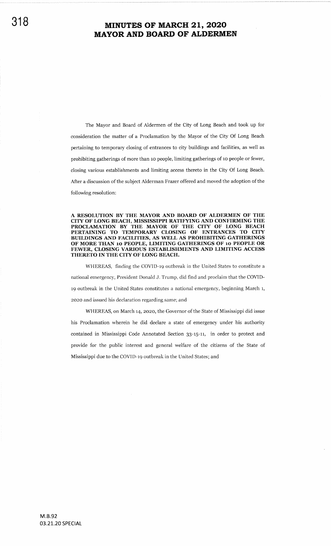The Mayor and Board of Aldermen of the City of Long Beach and took up for consideration the matter of a Proclamation by the Mayor of the City Of long Beach pertaining to temporary closing of entrances to city buildings and facilities, as well as prohibiting gatherings of more than 10 people, limiting gatherings of 10 people or fewer, closing various establishments and limiting access thereto in the City Of Long Beach. After a discussion of the subject Alderman Frazer offered and moved the adoption of the following resolution:

A RESOLUTION BY THE MAYOR AND BOARD OF ALDERMEN OF THE CITY OF LONG BEACH, MISSISSIPPI RATIFYING AND CONFIRMING THE PROCLAMATION BY THE MAYOR OF THE CITY OF LONG BEACH PERTAINING TO TEMPORARY CLOSING OF ENTRANCES TO CITY BUILDINGS AND FACILITIES, AS WELL AS PROHIBITING GATHBRINGS OF MORE THAN 10 PEOPLE, LIMITING GATHERINGS OF 10 PEOPLE OR FEWER, CLOSING VARIOUS ESTABLISHMENTS AND LIMITING ACCESS THERETO IN THE CITY OF LONG BEACH.

WHEREAS, finding the COVID-19 outbreak in the United States to constitute a national emergency, President Donald J. Trump, did find and proclaim that the COVIDt9 outbreak in the United States constitutes a national emergency, beginning March t, zozo and issued his declaration regarding same; and

WHEREAS, on March 14,2a2o, the Governor of the State of Mississippi did issue his Proclamation wherein he did declare a state of emergency under his authority contained in Mississippi Code Annotated Section g3-r5-11, in order to protect and provide for the public interest and general welfare of the citizens of the State of Mississippi due to the COVID-r9 outbreak in the United States; and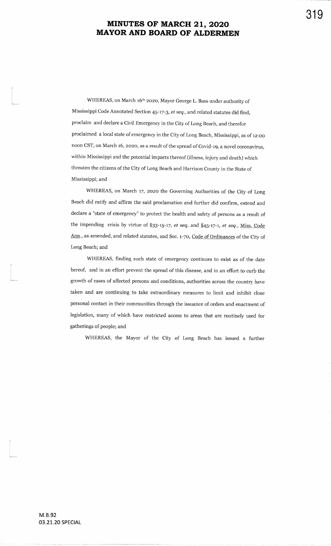319

WHEREAS, on March 16th 2o2o, Mayor George L. Bass under authority ofMississippi Code Annotated Section 45-17-3, *et seq.*, and related statutes did find, proclaim and declare a civil Emergency in the city of Long Beach, and thereforproclaimed a local state of emergency in the City of Long Beach, Mississippi, as of 12:00 noon CST, on March 16, 2020, as a result of the spread of Covid-19, a novel coronavirus, within Mississippi and the potential impacts thereof (illness, injury and death) whichthreaten the citizens of the City of Long Beach and Harrison County in the State of Mississippi; and

WHEREAS, on March 17, 2020 the Governing Authorities of the City of Long Beach did ratify and affirm the said proclamation and further did confirm, extend anddeclare a "state of emergency" to protect the health and safety of persons as a result ofthe impending crisis by virtue of §33-15-17, et seq. and §45-17-1, et seq., Miss. Code Ann., as amended, and related statutes, and Sec. 1-70, Code of Ordinances of the City of Long Beach; and

WHEREAS, finding such state of emergency continues to exist as of the datehereof, and in an effort prevent the spread of this disease, and in an effort to curb the growth of cases of affected persons and conditions, authorities across the country havetaken and are continuing to take extraordinary measures to limit and inhibit closepersonal contact in their communities through the issuance of orders and enactment oflegislation, many of which have restricted access to areas that are routinely used for gatherings of people; and

WHEREAS, the Mayor of the City of Long Beach has issued a further

(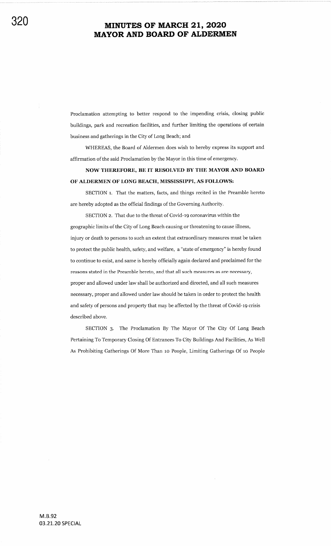Proclamation attempting to better respond to the impending crisis, closing public buildings, park and recreation facilities, and further limiting the operations of certain business and gatherings in the City of Long Beach; and

WHEREAS, the Board of Aldermen does wish to hereby express its support and afiirmation of the said Proclamation by the Mayor in this time of emergency.

NOW THEREFORE, BE IT RESOLVED BY THE MAYOR AND BOARD OF ALDERMEN OF LONG BEACH, MISSISSIPPI, AS FOLLOWS:

SECTION 1. That the matters, facts, and things recited in the Preamble hereto are hereby adopted as the official findings of the Governing Authority.

SECTION z. That due to the threat of Covid-rg coronavirus within the geographic limits of the City of Long Beach causing or threatening to cause illness, injury or death to persons to such an extent that extraordinary measures must be taken to protect the public health, safety, and welfare, a "state of emergency" is hereby found to continue to exist, and same is hereby officially again declared and proclaimed for the reasons stated in the Preamble hereto, and that all such measures as are necessary, proper and allowed under law shall be authorized and directed, and all sueh measures necessary, proper and allowed under law should be taken in order to protect the health and safety of persons and property that may be affected by the threat of Covid-19 crisis described above.

SECTION 3. The Proclamation By The Mayor Of The City Of Long Beach Pertaining To Temporary Closing Of Entrances To City Buildings And Facilities, As Well As Prohibiting Gatherings Of More Than ro People, Limiting Gatherings Of ro People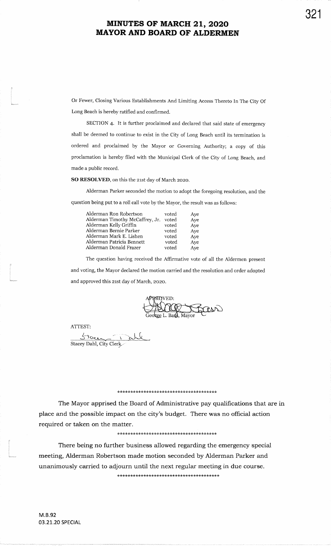Or Fewer, Closing Various Establishments And Limiting Access Thereto In The City OfIong Beach is hereby ratified and confirmed.

SECTION 4. It is further proclaimed and declared that said state of emergencyshall be deemed to continue to exist in the City of Long Beach until its termination isordered and proclaimed by the Mayor or Governing Authority; a copy of thisproclamation is hereby filed with the Municipal clerk of the city of Long Beach, andmade a public record.

SO RESOLVED, on this the 21st day of March 2020.

Alderman Parker seconded the motion to adopt the foregoing resolution, and thequestion being put to a roll call vote by the Mayor, the result was as follous:

| Alderman Ron Robertson          | voted | Aye |
|---------------------------------|-------|-----|
| Alderman Timothy McCaffrey, Jr. | voted | Aye |
| Alderman Kelly Griffin          | voted | Aye |
| Alderman Bernie Parker          | voted | Ave |
| Alderman Mark E. Lishen         | voted | Aye |
| Alderman Patricia Bennett       | voted | Aye |
| Alderman Donald Frazer          | voted | Ave |
|                                 |       |     |

The question having received the Affirmative vote of all the Aldermen presentand voting, the Mayor declared the motion carried and the resolution and order adoptedand approved this 21st day of March, 2020.

L.. Ba**≰s**, Mayor

ATTEST:

Stacey Dahl, City Clerk

### \*\*\*\*\*\*\*\*\*\*\*\*\*\*\*\*\*\*\*\*\*\*\*\*\*\*\*\*\*\*\*\*\*\*\*\*\*\*

The Mayor apprised the Board of Administrative pay qualifications that are inplace and the possible impact on the city's budget. There was no official actionrequired or taken on the matter.

\*\*\*\*

There being no further business allowed regarding the emergency special meeting, Alderman Robertson made motion seconded by Alderman Parker andunanimously carried to adjourn until the next regular meeting in due course.\*\*\*\*

321